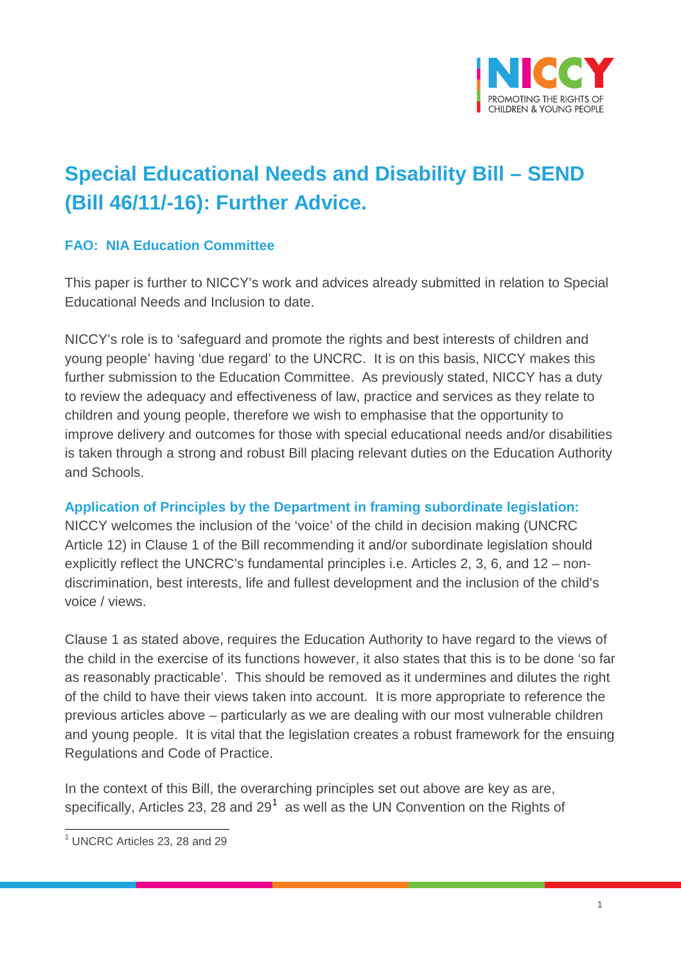

# **Special Educational Needs and Disability Bill – SEND (Bill 46/11/-16): Further Advice.**

## **FAO: NIA Education Committee**

This paper is further to NICCY's work and advices already submitted in relation to Special Educational Needs and Inclusion to date.

NICCY's role is to 'safeguard and promote the rights and best interests of children and young people' having 'due regard' to the UNCRC. It is on this basis, NICCY makes this further submission to the Education Committee. As previously stated, NICCY has a duty to review the adequacy and effectiveness of law, practice and services as they relate to children and young people, therefore we wish to emphasise that the opportunity to improve delivery and outcomes for those with special educational needs and/or disabilities is taken through a strong and robust Bill placing relevant duties on the Education Authority and Schools.

## **Application of Principles by the Department in framing subordinate legislation:**

NICCY welcomes the inclusion of the 'voice' of the child in decision making (UNCRC Article 12) in Clause 1 of the Bill recommending it and/or subordinate legislation should explicitly reflect the UNCRC's fundamental principles i.e. Articles 2, 3, 6, and 12 – nondiscrimination, best interests, life and fullest development and the inclusion of the child's voice / views.

Clause 1 as stated above, requires the Education Authority to have regard to the views of the child in the exercise of its functions however, it also states that this is to be done 'so far as reasonably practicable'. This should be removed as it undermines and dilutes the right of the child to have their views taken into account. It is more appropriate to reference the previous articles above – particularly as we are dealing with our most vulnerable children and young people. It is vital that the legislation creates a robust framework for the ensuing Regulations and Code of Practice.

In the context of this Bill, the overarching principles set out above are key as are, specifically, Articles 23, 28 and 29 $^1$  $^1$  as well as the UN Convention on the Rights of

<span id="page-0-0"></span><sup>&</sup>lt;sup>1</sup> UNCRC Articles 23, 28 and 29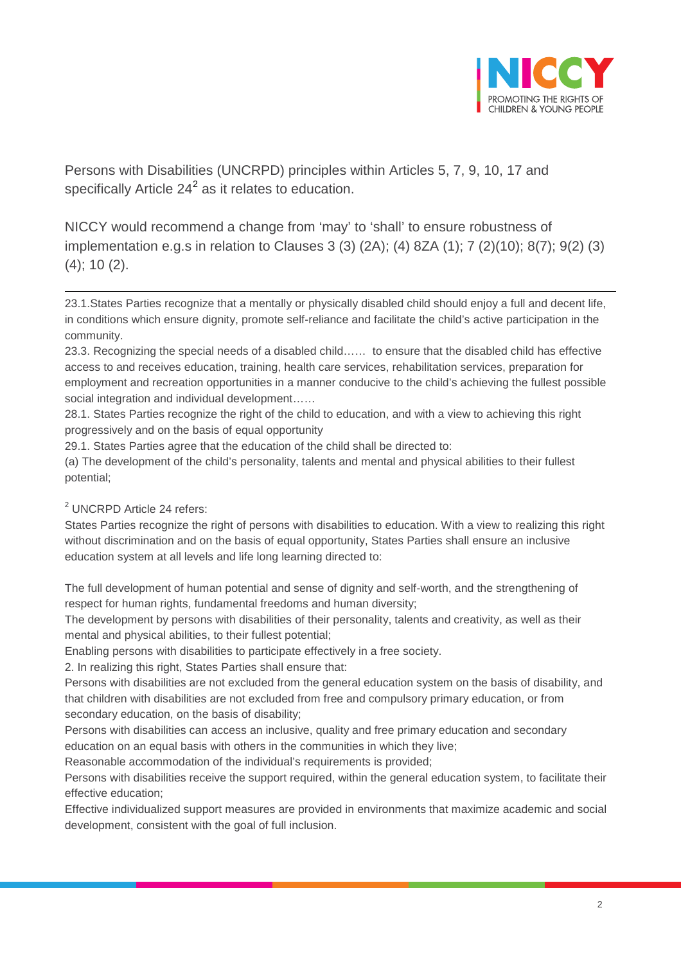

Persons with Disabilities (UNCRPD) principles within Articles 5, 7, 9, 10, 17 and specifically Article  $24<sup>2</sup>$  $24<sup>2</sup>$  as it relates to education.

NICCY would recommend a change from 'may' to 'shall' to ensure robustness of implementation e.g.s in relation to Clauses 3 (3) (2A); (4) 8ZA (1); 7 (2)(10); 8(7); 9(2) (3) (4); 10 (2).

1 23.1.States Parties recognize that a mentally or physically disabled child should enjoy a full and decent life, in conditions which ensure dignity, promote self-reliance and facilitate the child's active participation in the community.

23.3. Recognizing the special needs of a disabled child…… to ensure that the disabled child has effective access to and receives education, training, health care services, rehabilitation services, preparation for employment and recreation opportunities in a manner conducive to the child's achieving the fullest possible social integration and individual development……

28.1. States Parties recognize the right of the child to education, and with a view to achieving this right progressively and on the basis of equal opportunity

29.1. States Parties agree that the education of the child shall be directed to:

(a) The development of the child's personality, talents and mental and physical abilities to their fullest potential;

<span id="page-1-0"></span><sup>2</sup> UNCRPD Article 24 refers:

States Parties recognize the right of persons with disabilities to education. With a view to realizing this right without discrimination and on the basis of equal opportunity, States Parties shall ensure an inclusive education system at all levels and life long learning directed to:

The full development of human potential and sense of dignity and self-worth, and the strengthening of respect for human rights, fundamental freedoms and human diversity;

The development by persons with disabilities of their personality, talents and creativity, as well as their mental and physical abilities, to their fullest potential;

Enabling persons with disabilities to participate effectively in a free society.

2. In realizing this right, States Parties shall ensure that:

Persons with disabilities are not excluded from the general education system on the basis of disability, and that children with disabilities are not excluded from free and compulsory primary education, or from secondary education, on the basis of disability;

Persons with disabilities can access an inclusive, quality and free primary education and secondary education on an equal basis with others in the communities in which they live;

Reasonable accommodation of the individual's requirements is provided;

Persons with disabilities receive the support required, within the general education system, to facilitate their effective education;

Effective individualized support measures are provided in environments that maximize academic and social development, consistent with the goal of full inclusion.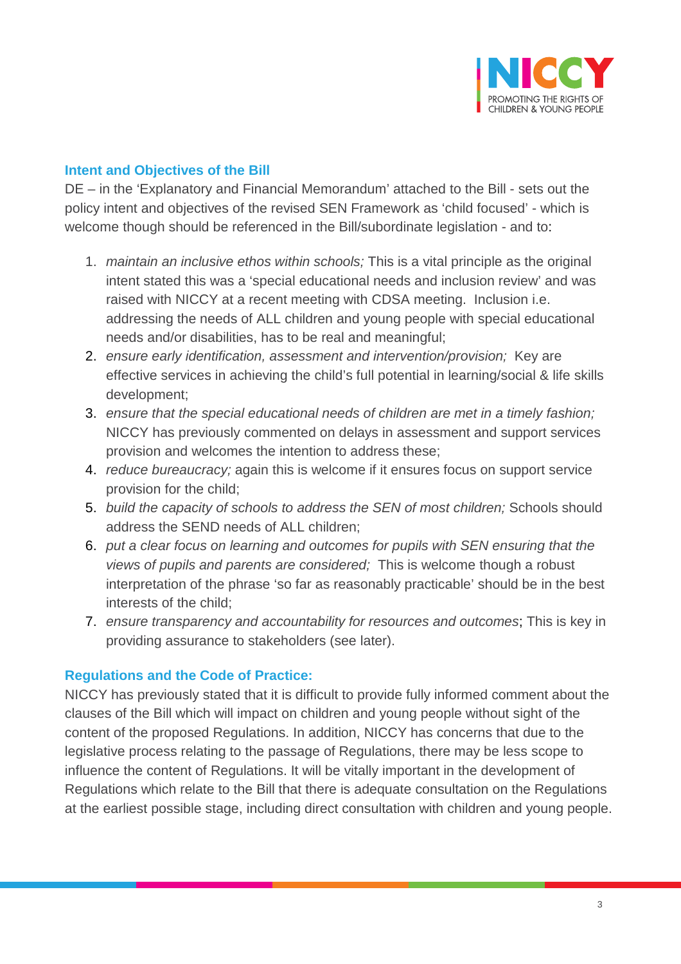

## **Intent and Objectives of the Bill**

DE – in the 'Explanatory and Financial Memorandum' attached to the Bill - sets out the policy intent and objectives of the revised SEN Framework as 'child focused' - which is welcome though should be referenced in the Bill/subordinate legislation - and to:

- 1. *maintain an inclusive ethos within schools;* This is a vital principle as the original intent stated this was a 'special educational needs and inclusion review' and was raised with NICCY at a recent meeting with CDSA meeting. Inclusion i.e. addressing the needs of ALL children and young people with special educational needs and/or disabilities, has to be real and meaningful;
- 2. *ensure early identification, assessment and intervention/provision;* Key are effective services in achieving the child's full potential in learning/social & life skills development;
- 3. *ensure that the special educational needs of children are met in a timely fashion;* NICCY has previously commented on delays in assessment and support services provision and welcomes the intention to address these;
- 4. *reduce bureaucracy;* again this is welcome if it ensures focus on support service provision for the child;
- 5. *build the capacity of schools to address the SEN of most children;* Schools should address the SEND needs of ALL children;
- 6. *put a clear focus on learning and outcomes for pupils with SEN ensuring that the views of pupils and parents are considered;* This is welcome though a robust interpretation of the phrase 'so far as reasonably practicable' should be in the best interests of the child;
- 7. *ensure transparency and accountability for resources and outcomes*; This is key in providing assurance to stakeholders (see later).

#### **Regulations and the Code of Practice:**

NICCY has previously stated that it is difficult to provide fully informed comment about the clauses of the Bill which will impact on children and young people without sight of the content of the proposed Regulations. In addition, NICCY has concerns that due to the legislative process relating to the passage of Regulations, there may be less scope to influence the content of Regulations. It will be vitally important in the development of Regulations which relate to the Bill that there is adequate consultation on the Regulations at the earliest possible stage, including direct consultation with children and young people.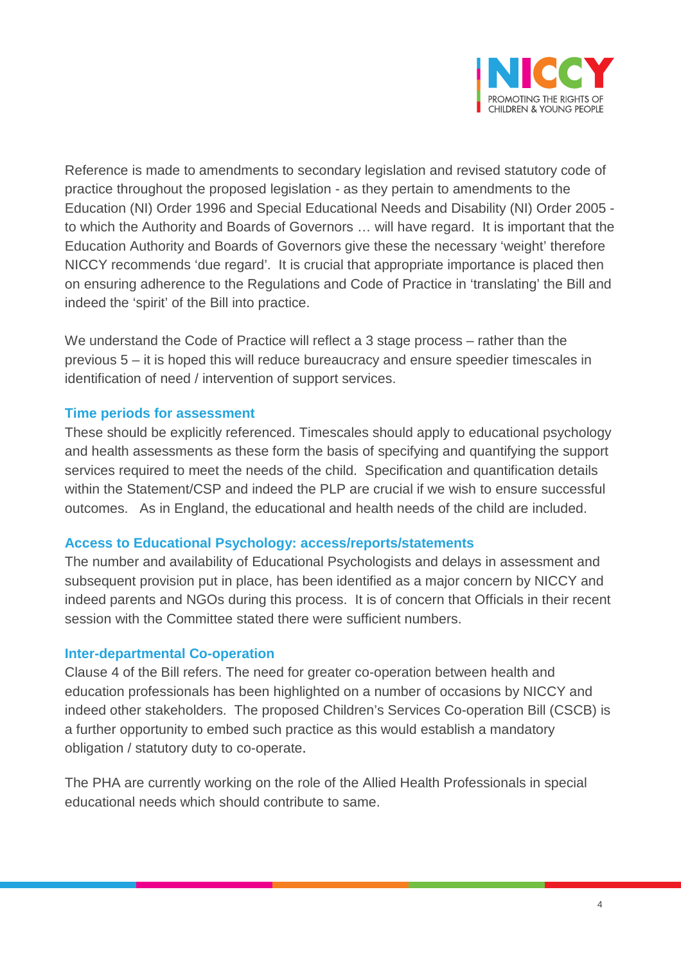

Reference is made to amendments to secondary legislation and revised statutory code of practice throughout the proposed legislation - as they pertain to amendments to the Education (NI) Order 1996 and Special Educational Needs and Disability (NI) Order 2005 to which the Authority and Boards of Governors … will have regard. It is important that the Education Authority and Boards of Governors give these the necessary 'weight' therefore NICCY recommends 'due regard'. It is crucial that appropriate importance is placed then on ensuring adherence to the Regulations and Code of Practice in 'translating' the Bill and indeed the 'spirit' of the Bill into practice.

We understand the Code of Practice will reflect a 3 stage process – rather than the previous 5 – it is hoped this will reduce bureaucracy and ensure speedier timescales in identification of need / intervention of support services.

#### **Time periods for assessment**

These should be explicitly referenced. Timescales should apply to educational psychology and health assessments as these form the basis of specifying and quantifying the support services required to meet the needs of the child. Specification and quantification details within the Statement/CSP and indeed the PLP are crucial if we wish to ensure successful outcomes. As in England, the educational and health needs of the child are included.

#### **Access to Educational Psychology: access/reports/statements**

The number and availability of Educational Psychologists and delays in assessment and subsequent provision put in place, has been identified as a major concern by NICCY and indeed parents and NGOs during this process. It is of concern that Officials in their recent session with the Committee stated there were sufficient numbers.

#### **Inter-departmental Co-operation**

Clause 4 of the Bill refers. The need for greater co-operation between health and education professionals has been highlighted on a number of occasions by NICCY and indeed other stakeholders. The proposed Children's Services Co-operation Bill (CSCB) is a further opportunity to embed such practice as this would establish a mandatory obligation / statutory duty to co-operate.

The PHA are currently working on the role of the Allied Health Professionals in special educational needs which should contribute to same.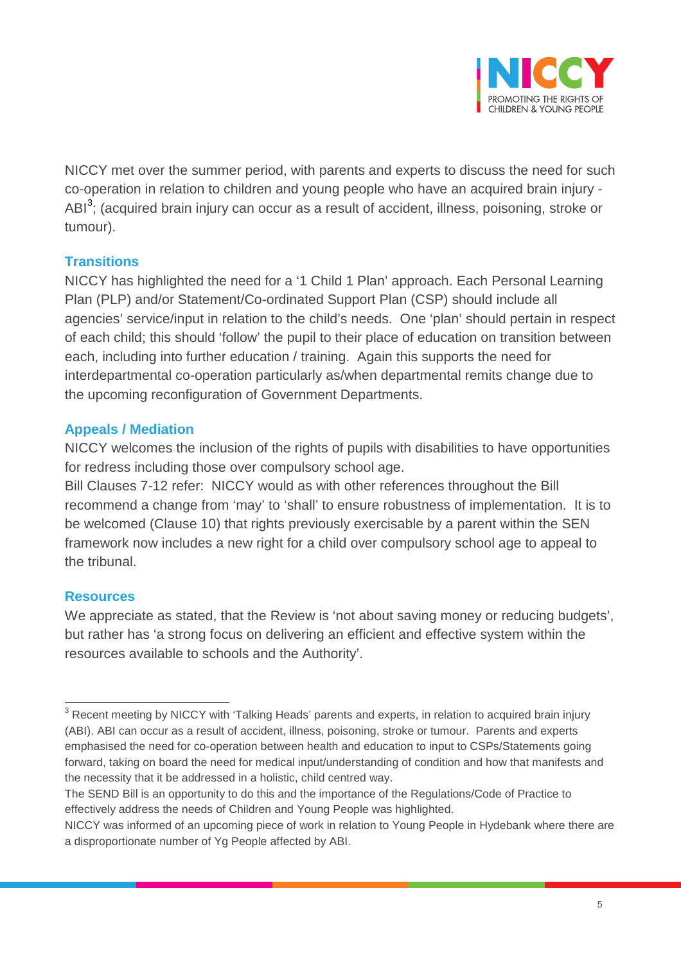

NICCY met over the summer period, with parents and experts to discuss the need for such co-operation in relation to children and young people who have an acquired brain injury - ABI<sup>[3](#page-4-0)</sup>; (acquired brain injury can occur as a result of accident, illness, poisoning, stroke or tumour).

## **Transitions**

NICCY has highlighted the need for a '1 Child 1 Plan' approach. Each Personal Learning Plan (PLP) and/or Statement/Co-ordinated Support Plan (CSP) should include all agencies' service/input in relation to the child's needs. One 'plan' should pertain in respect of each child; this should 'follow' the pupil to their place of education on transition between each, including into further education / training. Again this supports the need for interdepartmental co-operation particularly as/when departmental remits change due to the upcoming reconfiguration of Government Departments.

# **Appeals / Mediation**

NICCY welcomes the inclusion of the rights of pupils with disabilities to have opportunities for redress including those over compulsory school age.

Bill Clauses 7-12 refer: NICCY would as with other references throughout the Bill recommend a change from 'may' to 'shall' to ensure robustness of implementation. It is to be welcomed (Clause 10) that rights previously exercisable by a parent within the SEN framework now includes a new right for a child over compulsory school age to appeal to the tribunal.

# **Resources**

We appreciate as stated, that the Review is 'not about saving money or reducing budgets', but rather has 'a strong focus on delivering an efficient and effective system within the resources available to schools and the Authority'.

<span id="page-4-0"></span><sup>&</sup>lt;sup>3</sup> Recent meeting by NICCY with 'Talking Heads' parents and experts, in relation to acquired brain injury (ABI). ABI can occur as a result of accident, illness, poisoning, stroke or tumour. Parents and experts emphasised the need for co-operation between health and education to input to CSPs/Statements going forward, taking on board the need for medical input/understanding of condition and how that manifests and the necessity that it be addressed in a holistic, child centred way.

The SEND Bill is an opportunity to do this and the importance of the Regulations/Code of Practice to effectively address the needs of Children and Young People was highlighted.

NICCY was informed of an upcoming piece of work in relation to Young People in Hydebank where there are a disproportionate number of Yg People affected by ABI.